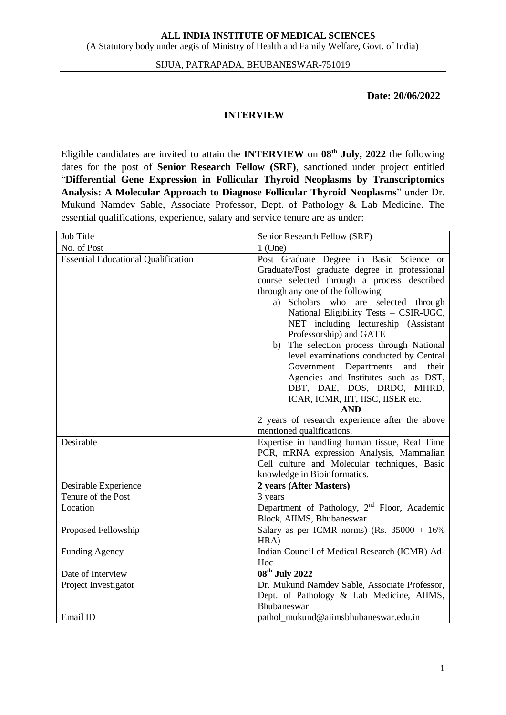#### SIJUA, PATRAPADA, BHUBANESWAR-751019

### **Date: 20/06/2022**

#### **INTERVIEW**

Eligible candidates are invited to attain the **INTERVIEW** on **08th July, 2022** the following dates for the post of **Senior Research Fellow (SRF)**, sanctioned under project entitled "**Differential Gene Expression in Follicular Thyroid Neoplasms by Transcriptomics Analysis: A Molecular Approach to Diagnose Follicular Thyroid Neoplasms**" under Dr. Mukund Namdev Sable, Associate Professor, Dept. of Pathology & Lab Medicine. The essential qualifications, experience, salary and service tenure are as under:

| Job Title                                  | Senior Research Fellow (SRF)                                                                                                                                                                                                                                                                                                                                                                                                                                                                                                                                                                                                                       |  |  |  |
|--------------------------------------------|----------------------------------------------------------------------------------------------------------------------------------------------------------------------------------------------------------------------------------------------------------------------------------------------------------------------------------------------------------------------------------------------------------------------------------------------------------------------------------------------------------------------------------------------------------------------------------------------------------------------------------------------------|--|--|--|
| No. of Post                                | $1$ (One)                                                                                                                                                                                                                                                                                                                                                                                                                                                                                                                                                                                                                                          |  |  |  |
| <b>Essential Educational Qualification</b> | Post Graduate Degree in Basic Science or<br>Graduate/Post graduate degree in professional<br>course selected through a process described<br>through any one of the following:<br>Scholars who are selected through<br>a)<br>National Eligibility Tests - CSIR-UGC,<br>NET including lectureship (Assistant<br>Professorship) and GATE<br>The selection process through National<br>b)<br>level examinations conducted by Central<br>Government Departments and<br>their<br>Agencies and Institutes such as DST,<br>DBT, DAE, DOS, DRDO, MHRD,<br>ICAR, ICMR, IIT, IISC, IISER etc.<br><b>AND</b><br>2 years of research experience after the above |  |  |  |
| Desirable                                  | mentioned qualifications.<br>Expertise in handling human tissue, Real Time<br>PCR, mRNA expression Analysis, Mammalian<br>Cell culture and Molecular techniques, Basic                                                                                                                                                                                                                                                                                                                                                                                                                                                                             |  |  |  |
| Desirable Experience                       | knowledge in Bioinformatics.<br>2 years (After Masters)                                                                                                                                                                                                                                                                                                                                                                                                                                                                                                                                                                                            |  |  |  |
| Tenure of the Post                         | 3 years                                                                                                                                                                                                                                                                                                                                                                                                                                                                                                                                                                                                                                            |  |  |  |
| Location                                   | Department of Pathology, 2 <sup>nd</sup> Floor, Academic<br>Block, AIIMS, Bhubaneswar                                                                                                                                                                                                                                                                                                                                                                                                                                                                                                                                                              |  |  |  |
| Proposed Fellowship                        | Salary as per ICMR norms) (Rs. $35000 + 16\%$<br>HRA)                                                                                                                                                                                                                                                                                                                                                                                                                                                                                                                                                                                              |  |  |  |
| <b>Funding Agency</b>                      | Indian Council of Medical Research (ICMR) Ad-<br>Hoc                                                                                                                                                                                                                                                                                                                                                                                                                                                                                                                                                                                               |  |  |  |
| Date of Interview                          | $08^{\text{th}}$ July 2022                                                                                                                                                                                                                                                                                                                                                                                                                                                                                                                                                                                                                         |  |  |  |
| Project Investigator                       | Dr. Mukund Namdev Sable, Associate Professor,<br>Dept. of Pathology & Lab Medicine, AIIMS,<br>Bhubaneswar                                                                                                                                                                                                                                                                                                                                                                                                                                                                                                                                          |  |  |  |
| Email ID                                   | pathol_mukund@aiimsbhubaneswar.edu.in                                                                                                                                                                                                                                                                                                                                                                                                                                                                                                                                                                                                              |  |  |  |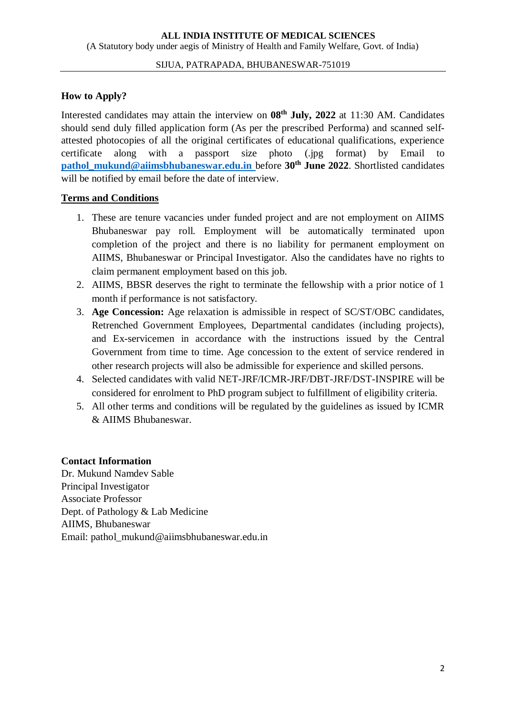#### SIJUA, PATRAPADA, BHUBANESWAR-751019

## **How to Apply?**

Interested candidates may attain the interview on **08th July, 2022** at 11:30 AM. Candidates should send duly filled application form (As per the prescribed Performa) and scanned selfattested photocopies of all the original certificates of educational qualifications, experience certificate along with a passport size photo (.jpg format) by Email to **[pathol\\_mukund@aiimsbhubaneswar.edu.in](mailto:pathol_mukund@aiimsbhubaneswar.edu.in)\_before 30<sup>th</sup> June 2022. Shortlisted candidates** will be notified by email before the date of interview.

### **Terms and Conditions**

- 1. These are tenure vacancies under funded project and are not employment on AIIMS Bhubaneswar pay roll. Employment will be automatically terminated upon completion of the project and there is no liability for permanent employment on AIIMS, Bhubaneswar or Principal Investigator. Also the candidates have no rights to claim permanent employment based on this job.
- 2. AIIMS, BBSR deserves the right to terminate the fellowship with a prior notice of 1 month if performance is not satisfactory.
- 3. **Age Concession:** Age relaxation is admissible in respect of SC/ST/OBC candidates, Retrenched Government Employees, Departmental candidates (including projects), and Ex-servicemen in accordance with the instructions issued by the Central Government from time to time. Age concession to the extent of service rendered in other research projects will also be admissible for experience and skilled persons.
- 4. Selected candidates with valid NET-JRF/ICMR-JRF/DBT-JRF/DST-INSPIRE will be considered for enrolment to PhD program subject to fulfillment of eligibility criteria.
- 5. All other terms and conditions will be regulated by the guidelines as issued by ICMR & AIIMS Bhubaneswar.

### **Contact Information**

Dr. Mukund Namdev Sable Principal Investigator Associate Professor Dept. of Pathology & Lab Medicine AIIMS, Bhubaneswar Email: pathol\_mukund@aiimsbhubaneswar.edu.in